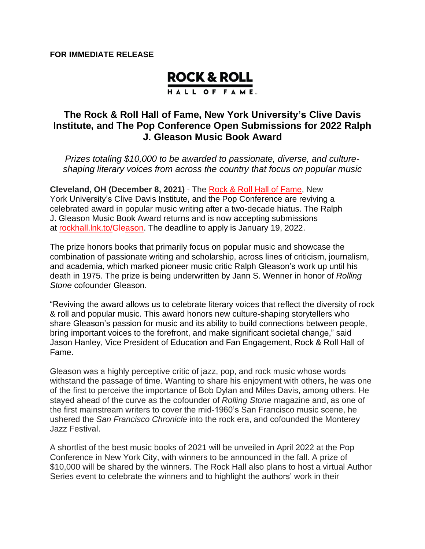## **ROCK & ROLL**

HALL OF FAME.

## **The Rock & Roll Hall of Fame, New York University's Clive Davis Institute, and The Pop Conference Open Submissions for 2022 Ralph J. Gleason Music Book Award**

*Prizes totaling \$10,000 to be awarded to passionate, diverse, and cultureshaping literary voices from across the country that focus on popular music*

**Cleveland, OH (December 8, 2021)** - The Rock & Roll Hall of [Fame,](http://www.rockhall.com/) New York University's Clive Davis Institute, and the Pop Conference are reviving a celebrated award in popular music writing after a two-decade hiatus. The Ralph J. Gleason Music Book Award returns and is now accepting submissions at [rockhall.lnk.to/Gleason.](http://www.rockhall.com/2022-Ralph-J-Gleason-Book-Award) The deadline to apply is January 19, 2022.

The prize honors books that primarily focus on popular music and showcase the combination of passionate writing and scholarship, across lines of criticism, journalism, and academia, which marked pioneer music critic Ralph Gleason's work up until his death in 1975. The prize is being underwritten by Jann S. Wenner in honor of *Rolling Stone* cofounder Gleason.

"Reviving the award allows us to celebrate literary voices that reflect the diversity of rock & roll and popular music. This award honors new culture-shaping storytellers who share Gleason's passion for music and its ability to build connections between people, bring important voices to the forefront, and make significant societal change," said Jason Hanley, Vice President of Education and Fan Engagement, Rock & Roll Hall of Fame.

Gleason was a highly perceptive critic of jazz, pop, and rock music whose words withstand the passage of time. Wanting to share his enjoyment with others, he was one of the first to perceive the importance of Bob Dylan and Miles Davis, among others. He stayed ahead of the curve as the cofounder of *Rolling Stone* magazine and, as one of the first mainstream writers to cover the mid-1960's San Francisco music scene, he ushered the *San Francisco Chronicle* into the rock era, and cofounded the Monterey Jazz Festival.

A shortlist of the best music books of 2021 will be unveiled in April 2022 at the Pop Conference in New York City, with winners to be announced in the fall. A prize of \$10,000 will be shared by the winners. The Rock Hall also plans to host a virtual Author Series event to celebrate the winners and to highlight the authors' work in their